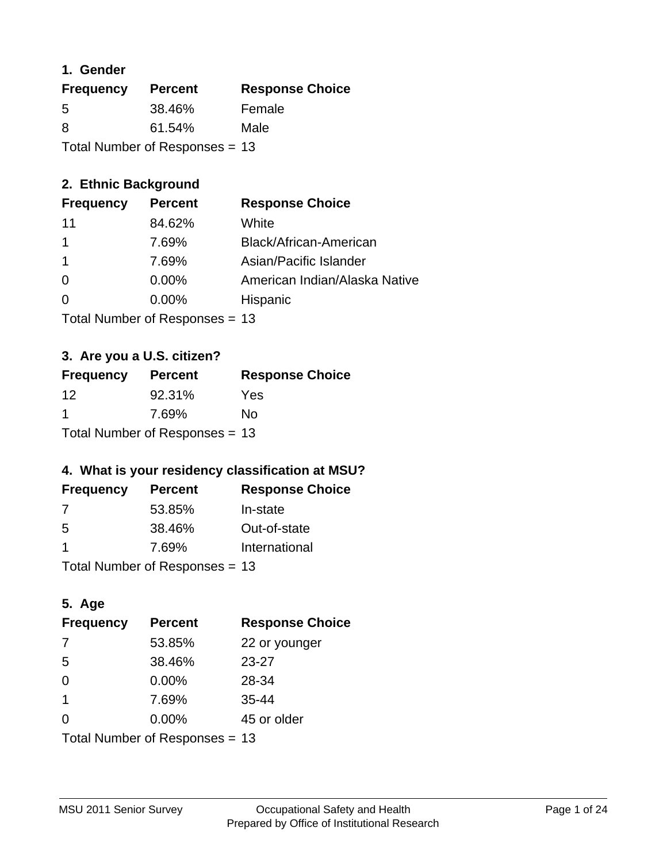### **1. Gender**

| <b>Frequency</b>               | <b>Percent</b> | <b>Response Choice</b> |
|--------------------------------|----------------|------------------------|
| 5                              | 38.46%         | Female                 |
| 8                              | 61.54%         | Male                   |
| Total Number of Responses = 13 |                |                        |

### **2. Ethnic Background**

| <b>Frequency</b> | <b>Percent</b> | <b>Response Choice</b>        |
|------------------|----------------|-------------------------------|
| 11               | 84.62%         | White                         |
|                  | 7.69%          | Black/African-American        |
|                  | 7.69%          | Asian/Pacific Islander        |
| $\Omega$         | 0.00%          | American Indian/Alaska Native |
| $\Omega$         | 0.00%          | Hispanic                      |
|                  |                |                               |

Total Number of Responses = 13

### **3. Are you a U.S. citizen?**

| <b>Frequency</b>                 | <b>Percent</b> | <b>Response Choice</b> |
|----------------------------------|----------------|------------------------|
| 12                               | 92.31%         | Yes                    |
| -1                               | 7.69%          | No                     |
| Total Number of Responses $= 13$ |                |                        |

### **4. What is your residency classification at MSU?**

| <b>Frequency</b> | <b>Percent</b> | <b>Response Choice</b> |
|------------------|----------------|------------------------|
| 7                | 53.85%         | In-state               |
| .5               | 38.46%         | Out-of-state           |
|                  | 7.69%          | International          |
|                  |                |                        |

Total Number of Responses = 13

### **5. Age**

| <b>Frequency</b>               | <b>Percent</b> | <b>Response Choice</b> |
|--------------------------------|----------------|------------------------|
| 7                              | 53.85%         | 22 or younger          |
| 5                              | 38.46%         | $23 - 27$              |
| $\Omega$                       | 0.00%          | 28-34                  |
| $\mathbf 1$                    | 7.69%          | $35 - 44$              |
| $\Omega$                       | 0.00%          | 45 or older            |
| Total Number of Responses = 13 |                |                        |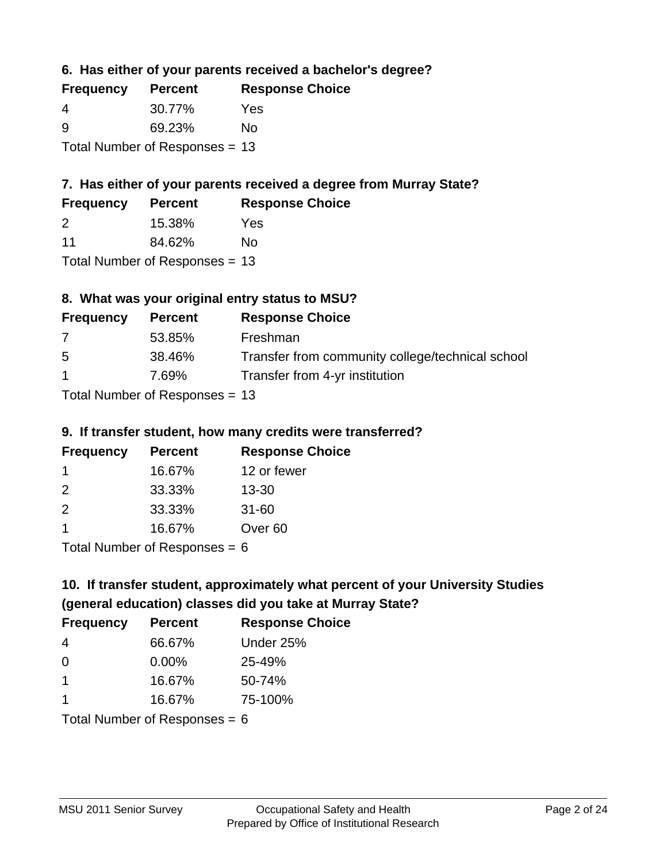**6. Has either of your parents received a bachelor's degree?**

| <b>Frequency</b>                 | <b>Percent</b> | <b>Response Choice</b> |
|----------------------------------|----------------|------------------------|
| 4                                | 30.77%         | Yes                    |
| <u>ှ</u>                         | 69.23%         | No                     |
| Total Number of Responses $= 13$ |                |                        |

### **7. Has either of your parents received a degree from Murray State?**

| <b>Frequency</b> | <b>Percent</b> | <b>Response Choice</b> |
|------------------|----------------|------------------------|
| 2                | 15.38%         | Yes                    |
| 11               | 84.62%         | No.                    |

Total Number of Responses = 13

### **8. What was your original entry status to MSU?**

| <b>Frequency</b>                | <b>Percent</b> | <b>Response Choice</b>                           |
|---------------------------------|----------------|--------------------------------------------------|
| 7                               | 53.85%         | Freshman                                         |
| 5                               | 38.46%         | Transfer from community college/technical school |
| $\mathbf 1$                     | 7.69%          | Transfer from 4-yr institution                   |
| $Total Number of Doonono0 = 42$ |                |                                                  |

Total Number of Responses = 13

#### **9. If transfer student, how many credits were transferred?**

| <b>Frequency</b> | <b>Percent</b>             | <b>Response Choice</b> |
|------------------|----------------------------|------------------------|
|                  | 16.67%                     | 12 or fewer            |
| $\mathcal{P}$    | 33.33%                     | $13 - 30$              |
| $\mathcal{P}$    | 33.33%                     | $31 - 60$              |
|                  | 16.67%                     | Over <sub>60</sub>     |
|                  | Tatal Number of Desperance |                        |

Total Number of Responses = 6

# **10. If transfer student, approximately what percent of your University Studies (general education) classes did you take at Murray State?**

| <b>Frequency</b>                | <b>Percent</b> | <b>Response Choice</b> |
|---------------------------------|----------------|------------------------|
| 4                               | 66.67%         | Under 25%              |
| $\Omega$                        | $0.00\%$       | 25-49%                 |
| $\mathbf 1$                     | 16.67%         | 50-74%                 |
| 1                               | 16.67%         | 75-100%                |
| Total Number of Responses = $6$ |                |                        |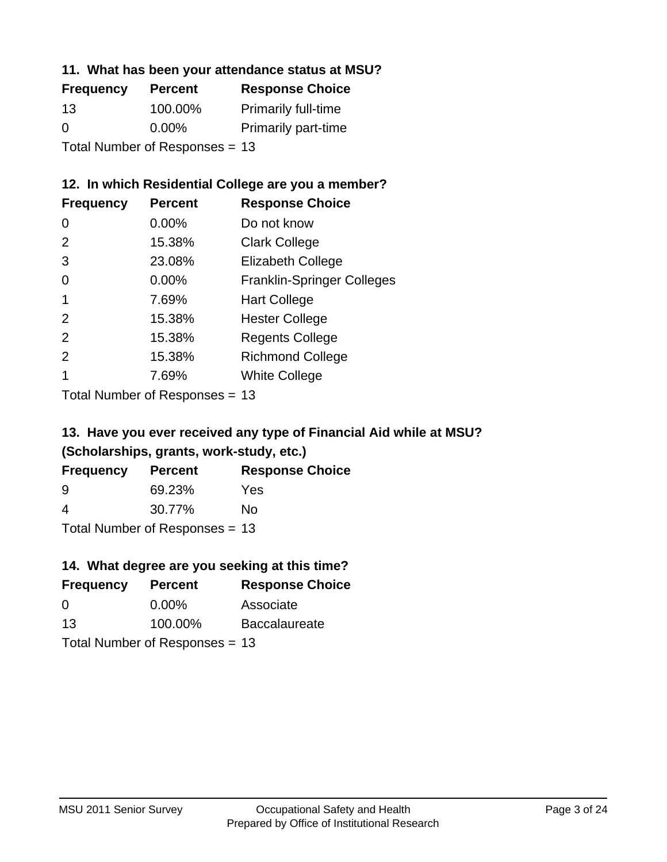#### **11. What has been your attendance status at MSU?**

| <b>Frequency</b>               | <b>Percent</b> | <b>Response Choice</b>     |
|--------------------------------|----------------|----------------------------|
| 13                             | 100.00%        | <b>Primarily full-time</b> |
| 0                              | $0.00\%$       | <b>Primarily part-time</b> |
| Total Number of Responses = 13 |                |                            |

### **12. In which Residential College are you a member?**

| <b>Frequency</b> | <b>Percent</b> | <b>Response Choice</b>            |
|------------------|----------------|-----------------------------------|
| 0                | $0.00\%$       | Do not know                       |
| 2                | 15.38%         | <b>Clark College</b>              |
| 3                | 23.08%         | <b>Elizabeth College</b>          |
| 0                | 0.00%          | <b>Franklin-Springer Colleges</b> |
|                  | 7.69%          | <b>Hart College</b>               |
| $\mathcal{P}$    | 15.38%         | <b>Hester College</b>             |
| 2                | 15.38%         | <b>Regents College</b>            |
| $\mathcal{P}$    | 15.38%         | <b>Richmond College</b>           |
|                  | 7.69%          | <b>White College</b>              |
|                  |                |                                   |

Total Number of Responses = 13

### **13. Have you ever received any type of Financial Aid while at MSU? (Scholarships, grants, work-study, etc.)**

| <b>Frequency</b> | <b>Percent</b>            | <b>Response Choice</b> |
|------------------|---------------------------|------------------------|
| 9                | 69.23%                    | Yes                    |
| 4                | 30.77%                    | Nο                     |
|                  | Total Number of Deepersee |                        |

Total Number of Responses = 13

### **14. What degree are you seeking at this time?**

| <b>Frequency</b> | <b>Percent</b>                 | <b>Response Choice</b> |
|------------------|--------------------------------|------------------------|
| 0                | $0.00\%$                       | Associate              |
| 13               | 100.00%                        | <b>Baccalaureate</b>   |
|                  | Total Number of Responses = 13 |                        |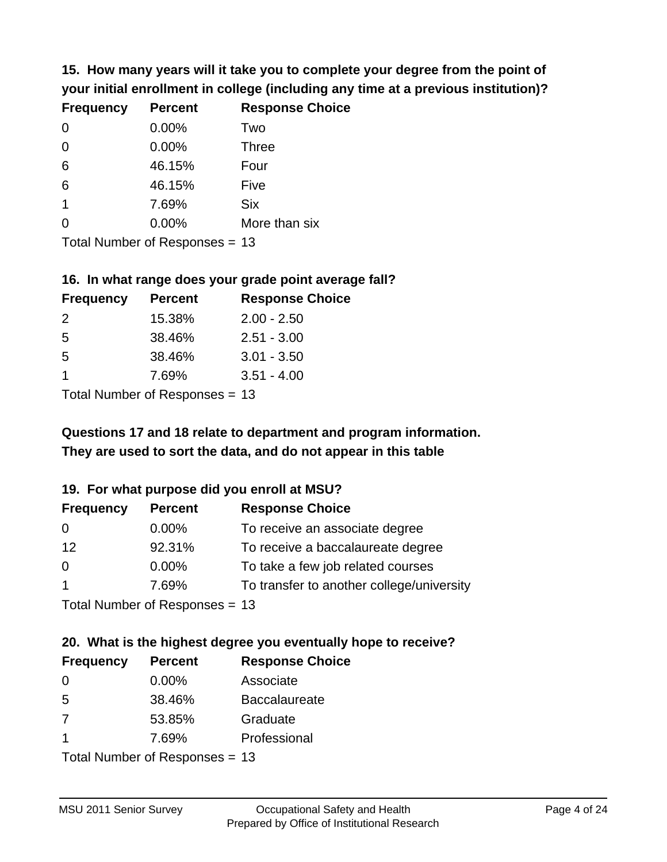**15. How many years will it take you to complete your degree from the point of your initial enrollment in college (including any time at a previous institution)?**

| <b>Frequency</b> | <b>Percent</b> | <b>Response Choice</b> |
|------------------|----------------|------------------------|
| $\Omega$         | 0.00%          | Two                    |
| 0                | 0.00%          | <b>Three</b>           |
| 6                | 46.15%         | Four                   |
| 6                | 46.15%         | Five                   |
| $\overline{1}$   | 7.69%          | <b>Six</b>             |
| 0                | 0.00%          | More than six          |
|                  |                |                        |

Total Number of Responses = 13

#### **16. In what range does your grade point average fall?**

| <b>Frequency</b> | <b>Percent</b> | <b>Response Choice</b> |
|------------------|----------------|------------------------|
| $\mathcal{P}$    | 15.38%         | $2.00 - 2.50$          |
| -5               | 38.46%         | $2.51 - 3.00$          |
| -5               | 38.46%         | $3.01 - 3.50$          |
| 1                | 7.69%          | $3.51 - 4.00$          |
|                  |                |                        |

Total Number of Responses = 13

### **They are used to sort the data, and do not appear in this table Questions 17 and 18 relate to department and program information.**

#### **19. For what purpose did you enroll at MSU?**

| <b>Frequency</b>             | <b>Percent</b> | <b>Response Choice</b>                    |
|------------------------------|----------------|-------------------------------------------|
| 0                            | 0.00%          | To receive an associate degree            |
| 12                           | 92.31%         | To receive a baccalaureate degree         |
| $\overline{0}$               | 0.00%          | To take a few job related courses         |
| $\overline{1}$               | 7.69%          | To transfer to another college/university |
| Total Number of Deepensee 42 |                |                                           |

Total Number of Responses = 13

# **20. What is the highest degree you eventually hope to receive?**

| <b>Frequency</b> | <b>Percent</b>            | <b>Response Choice</b> |
|------------------|---------------------------|------------------------|
| 0                | $0.00\%$                  | Associate              |
| 5                | 38.46%                    | <b>Baccalaureate</b>   |
| 7                | 53.85%                    | Graduate               |
| $\mathbf 1$      | 7.69%                     | Professional           |
|                  | Total Number of Despanses |                        |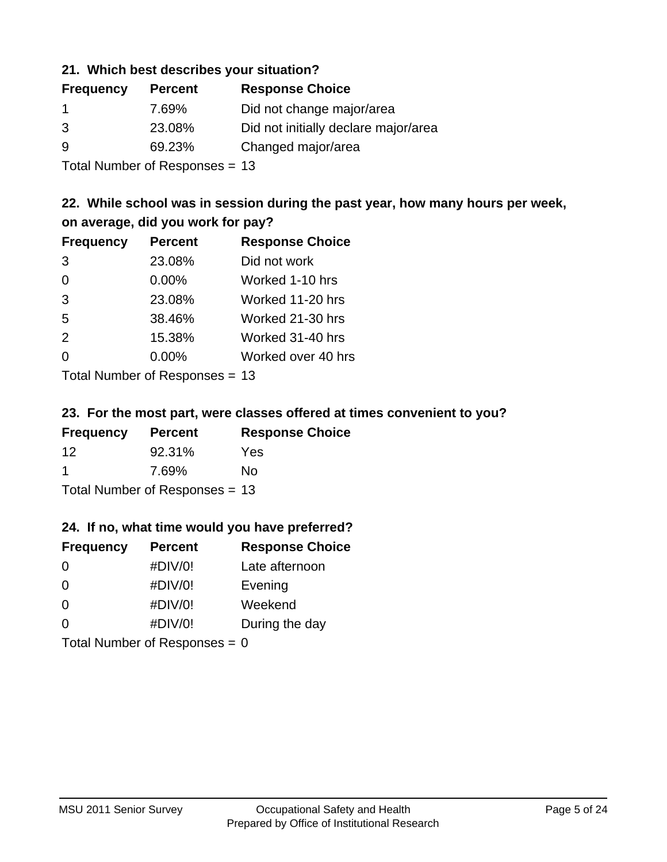#### **21. Which best describes your situation?**

| <b>Frequency</b> | <b>Percent</b> | <b>Response Choice</b>               |
|------------------|----------------|--------------------------------------|
| -1               | 7.69%          | Did not change major/area            |
| 3                | 23.08%         | Did not initially declare major/area |
| -9               | 69.23%         | Changed major/area                   |
|                  |                |                                      |

Total Number of Responses = 13

### **22. While school was in session during the past year, how many hours per week, on average, did you work for pay?**

| <b>Frequency</b> | <b>Percent</b> | <b>Response Choice</b> |
|------------------|----------------|------------------------|
| 3                | 23.08%         | Did not work           |
| $\Omega$         | 0.00%          | Worked 1-10 hrs        |
| 3                | 23.08%         | Worked 11-20 hrs       |
| 5                | 38.46%         | Worked 21-30 hrs       |
| 2                | 15.38%         | Worked 31-40 hrs       |
| $\Omega$         | 0.00%          | Worked over 40 hrs     |
|                  |                |                        |

Total Number of Responses = 13

#### **23. For the most part, were classes offered at times convenient to you?**

| <b>Frequency</b>               | <b>Percent</b> | <b>Response Choice</b> |
|--------------------------------|----------------|------------------------|
| 12                             | 92.31%         | Yes                    |
| -1                             | 7.69%          | No.                    |
| Total Number of Responses = 13 |                |                        |

#### **24. If no, what time would you have preferred?**

| <b>Frequency</b>                | <b>Percent</b> | <b>Response Choice</b> |
|---------------------------------|----------------|------------------------|
| $\Omega$                        | #DIV/0!        | Late afternoon         |
| $\Omega$                        | #DIV/0!        | Evening                |
| 0                               | #DIV/0!        | Weekend                |
| $\Omega$                        | #DIV/0!        | During the day         |
| Total Number of Responses = $0$ |                |                        |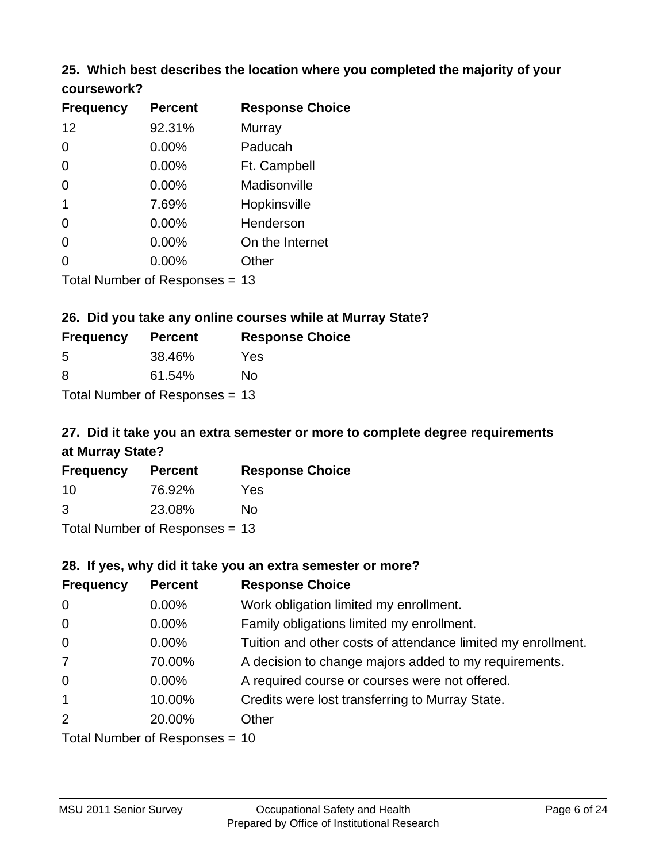# **25. Which best describes the location where you completed the majority of your**

| coursework? |
|-------------|
|-------------|

| <b>Frequency</b> | <b>Percent</b>                   | <b>Response Choice</b> |
|------------------|----------------------------------|------------------------|
| 12               | 92.31%                           | Murray                 |
| 0                | $0.00\%$                         | Paducah                |
| 0                | $0.00\%$                         | Ft. Campbell           |
| 0                | 0.00%                            | Madisonville           |
| 1                | 7.69%                            | Hopkinsville           |
| 0                | $0.00\%$                         | Henderson              |
| 0                | 0.00%                            | On the Internet        |
| 0                | 0.00%                            | Other                  |
|                  | Total Number of Responses $= 13$ |                        |

#### **26. Did you take any online courses while at Murray State?**

| <b>Frequency</b> | <b>Percent</b>                 | <b>Response Choice</b> |
|------------------|--------------------------------|------------------------|
| -5               | 38.46%                         | Yes                    |
| -8               | 61.54%                         | No.                    |
|                  | Total Number of Responses = 13 |                        |

### **27. Did it take you an extra semester or more to complete degree requirements at Murray State?**

| <b>Frequency</b> | <b>Percent</b>                   | <b>Response Choice</b> |
|------------------|----------------------------------|------------------------|
| 10               | 76.92%                           | Yes                    |
| 3                | 23.08%                           | No                     |
|                  | Total Number of Responses $= 13$ |                        |

**28. If yes, why did it take you an extra semester or more?**

| <b>Frequency</b> | <b>Percent</b>                   | <b>Response Choice</b>                                       |  |
|------------------|----------------------------------|--------------------------------------------------------------|--|
| $\overline{0}$   | $0.00\%$                         | Work obligation limited my enrollment.                       |  |
| $\overline{0}$   | $0.00\%$                         | Family obligations limited my enrollment.                    |  |
| $\mathbf 0$      | $0.00\%$                         | Tuition and other costs of attendance limited my enrollment. |  |
| $\overline{7}$   | 70.00%                           | A decision to change majors added to my requirements.        |  |
| $\mathbf 0$      | $0.00\%$                         | A required course or courses were not offered.               |  |
| $\mathbf{1}$     | 10.00%                           | Credits were lost transferring to Murray State.              |  |
| 2                | 20.00%                           | Other                                                        |  |
|                  | Total Number of Responses $= 10$ |                                                              |  |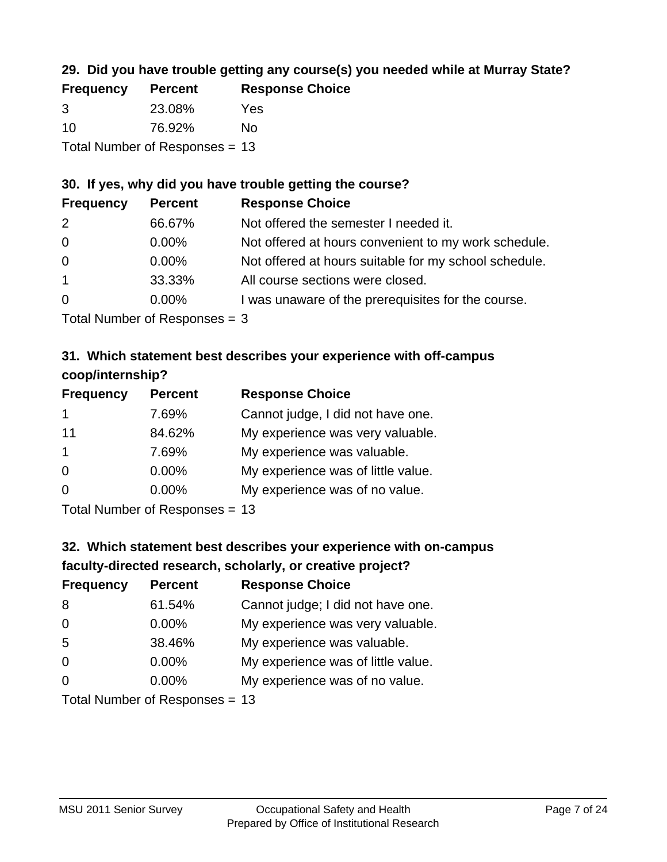### **29. Did you have trouble getting any course(s) you needed while at Murray State?**

| <b>Frequency</b>               | <b>Percent</b> | <b>Response Choice</b> |  |
|--------------------------------|----------------|------------------------|--|
| -3                             | 23.08%         | Yes                    |  |
| 10                             | 76.92%         | Nο                     |  |
| Total Number of Responses = 13 |                |                        |  |

### **30. If yes, why did you have trouble getting the course?**

| <b>Frequency</b> | <b>Percent</b> | <b>Response Choice</b>                                |
|------------------|----------------|-------------------------------------------------------|
| 2                | 66.67%         | Not offered the semester I needed it.                 |
| $\overline{0}$   | $0.00\%$       | Not offered at hours convenient to my work schedule.  |
| $\overline{0}$   | $0.00\%$       | Not offered at hours suitable for my school schedule. |
| $\overline{1}$   | 33.33%         | All course sections were closed.                      |
| $\overline{0}$   | $0.00\%$       | I was unaware of the prerequisites for the course.    |
|                  |                |                                                       |

Total Number of Responses = 3

### **31. Which statement best describes your experience with off-campus coop/internship?**

| <b>Frequency</b>                       | <b>Percent</b> | <b>Response Choice</b>             |
|----------------------------------------|----------------|------------------------------------|
| 1                                      | 7.69%          | Cannot judge, I did not have one.  |
| 11                                     | 84.62%         | My experience was very valuable.   |
| $\overline{1}$                         | 7.69%          | My experience was valuable.        |
| $\Omega$                               | $0.00\%$       | My experience was of little value. |
| $\Omega$                               | $0.00\%$       | My experience was of no value.     |
| $\mathbf{r}$ . The set of $\mathbf{r}$ |                |                                    |

Total Number of Responses = 13

# **32. Which statement best describes your experience with on-campus faculty-directed research, scholarly, or creative project?**

| <b>Frequency</b> | <b>Percent</b>                 | <b>Response Choice</b>             |
|------------------|--------------------------------|------------------------------------|
| 8                | 61.54%                         | Cannot judge; I did not have one.  |
| $\overline{0}$   | $0.00\%$                       | My experience was very valuable.   |
| 5                | 38.46%                         | My experience was valuable.        |
| $\Omega$         | $0.00\%$                       | My experience was of little value. |
| $\Omega$         | $0.00\%$                       | My experience was of no value.     |
|                  | Total Number of Deconoces - 12 |                                    |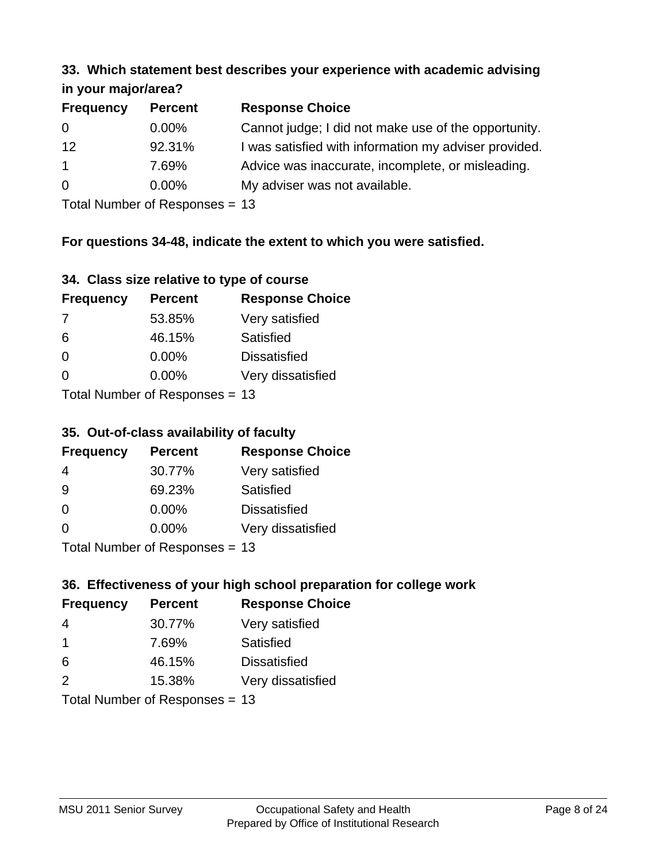#### **33. Which statement best describes your experience with academic advising in your major/area?**

| $\mathbf{u}$ yvu $\mathbf{u}$ yvu $\mathbf{v}$ |                |                                                       |
|------------------------------------------------|----------------|-------------------------------------------------------|
| <b>Frequency</b>                               | <b>Percent</b> | <b>Response Choice</b>                                |
| 0                                              | $0.00\%$       | Cannot judge; I did not make use of the opportunity.  |
| 12                                             | 92.31%         | I was satisfied with information my adviser provided. |
| $\mathbf{1}$                                   | 7.69%          | Advice was inaccurate, incomplete, or misleading.     |
| $\overline{0}$                                 | $0.00\%$       | My adviser was not available.                         |
|                                                |                |                                                       |

Total Number of Responses = 13

### **For questions 34-48, indicate the extent to which you were satisfied.**

| 34. Class size relative to type of course |  |  |  |  |  |  |  |  |
|-------------------------------------------|--|--|--|--|--|--|--|--|
|-------------------------------------------|--|--|--|--|--|--|--|--|

| <b>Frequency</b> | <b>Percent</b>                  | <b>Response Choice</b> |
|------------------|---------------------------------|------------------------|
| -7               | 53.85%                          | Very satisfied         |
| 6                | 46.15%                          | Satisfied              |
| $\Omega$         | $0.00\%$                        | <b>Dissatisfied</b>    |
| $\Omega$         | 0.00%                           | Very dissatisfied      |
|                  | Total Number of Responses $-13$ |                        |

Total Number of Responses = 13

#### **35. Out-of-class availability of faculty**

| <b>Frequency</b> | <b>Percent</b>            | <b>Response Choice</b> |
|------------------|---------------------------|------------------------|
| 4                | 30.77%                    | Very satisfied         |
| 9                | 69.23%                    | Satisfied              |
| $\Omega$         | $0.00\%$                  | <b>Dissatisfied</b>    |
| $\Omega$         | $0.00\%$                  | Very dissatisfied      |
|                  | Total Number of DoEROR 0. |                        |

Total Number of Responses = 13

### **36. Effectiveness of your high school preparation for college work**

| <b>Frequency</b> | <b>Percent</b>                 | <b>Response Choice</b> |
|------------------|--------------------------------|------------------------|
| 4                | 30.77%                         | Very satisfied         |
| -1               | 7.69%                          | Satisfied              |
| 6                | 46.15%                         | <b>Dissatisfied</b>    |
| 2                | 15.38%                         | Very dissatisfied      |
|                  | Total Number of Poenances - 13 |                        |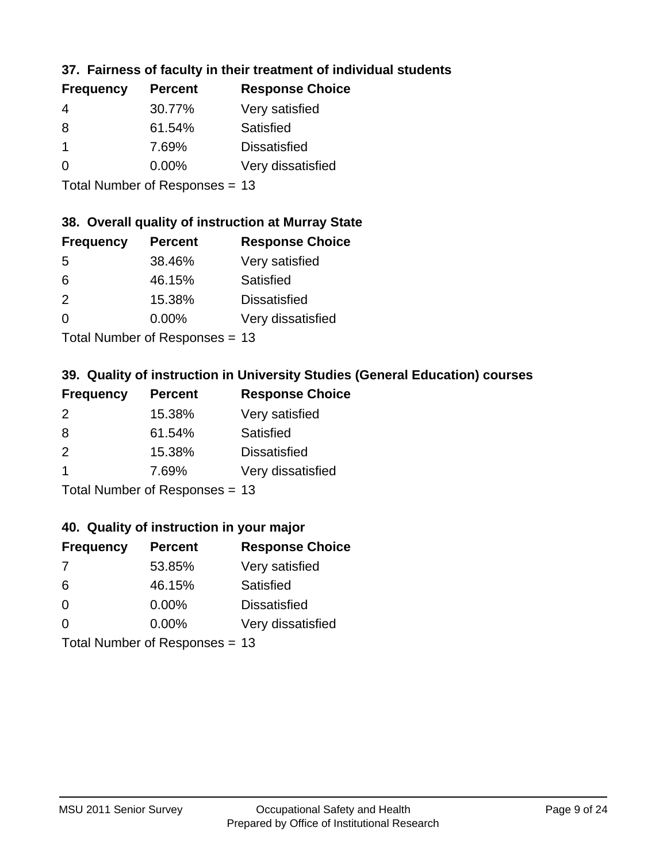### **37. Fairness of faculty in their treatment of individual students**

| <b>Frequency</b> | <b>Percent</b> | <b>Response Choice</b> |
|------------------|----------------|------------------------|
| 4                | 30.77%         | Very satisfied         |
| 8                | 61.54%         | Satisfied              |
|                  | 7.69%          | <b>Dissatisfied</b>    |
| 0                | 0.00%          | Very dissatisfied      |
|                  |                |                        |

Total Number of Responses = 13

#### **38. Overall quality of instruction at Murray State**

| <b>Frequency</b> | <b>Percent</b> | <b>Response Choice</b> |
|------------------|----------------|------------------------|
| 5                | 38.46%         | Very satisfied         |
| 6                | 46.15%         | Satisfied              |
| 2                | 15.38%         | <b>Dissatisfied</b>    |
| $\Omega$         | 0.00%          | Very dissatisfied      |
|                  |                |                        |

Total Number of Responses = 13

### **39. Quality of instruction in University Studies (General Education) courses**

| <b>Frequency</b> | <b>Percent</b>            | <b>Response Choice</b> |
|------------------|---------------------------|------------------------|
| 2                | 15.38%                    | Very satisfied         |
| 8                | 61.54%                    | Satisfied              |
| $\mathcal{P}$    | 15.38%                    | <b>Dissatisfied</b>    |
| -1               | 7.69%                     | Very dissatisfied      |
|                  | Total Number of Desponses |                        |

Total Number of Responses = 13

#### **40. Quality of instruction in your major**

| <b>Frequency</b> | <b>Percent</b>            | <b>Response Choice</b> |
|------------------|---------------------------|------------------------|
| 7                | 53.85%                    | Very satisfied         |
| 6                | 46.15%                    | Satisfied              |
| $\Omega$         | $0.00\%$                  | <b>Dissatisfied</b>    |
| $\Omega$         | 0.00%                     | Very dissatisfied      |
|                  | Total Number of Deepersee |                        |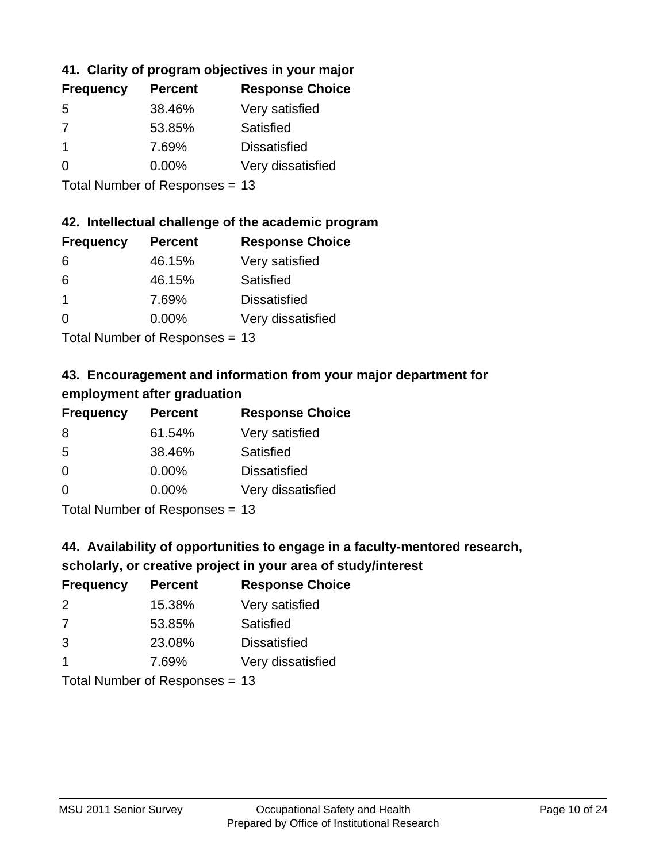### **41. Clarity of program objectives in your major**

| <b>Frequency</b> | <b>Percent</b> | <b>Response Choice</b> |
|------------------|----------------|------------------------|
| .5               | 38.46%         | Very satisfied         |
| 7                | 53.85%         | Satisfied              |
|                  | 7.69%          | <b>Dissatisfied</b>    |
| O                | $0.00\%$       | Very dissatisfied      |
|                  |                |                        |

Total Number of Responses = 13

#### **42. Intellectual challenge of the academic program**

| <b>Frequency</b> | <b>Percent</b> | <b>Response Choice</b> |
|------------------|----------------|------------------------|
| 6                | 46.15%         | Very satisfied         |
| 6                | 46.15%         | Satisfied              |
| -1               | 7.69%          | <b>Dissatisfied</b>    |
| $\Omega$         | 0.00%          | Very dissatisfied      |
|                  |                |                        |

Total Number of Responses = 13

### **43. Encouragement and information from your major department for employment after graduation**

| <b>Frequency</b> | <b>Percent</b>                           | <b>Response Choice</b> |
|------------------|------------------------------------------|------------------------|
| 8                | 61.54%                                   | Very satisfied         |
| 5                | 38.46%                                   | Satisfied              |
| 0                | $0.00\%$                                 | <b>Dissatisfied</b>    |
| $\Omega$         | 0.00%                                    | Very dissatisfied      |
|                  | $T$ at all Message and $D$ are a serious |                        |

Total Number of Responses = 13

### **44. Availability of opportunities to engage in a faculty-mentored research,**

### **scholarly, or creative project in your area of study/interest**

| <b>Frequency</b> | <b>Percent</b> | <b>Response Choice</b> |
|------------------|----------------|------------------------|
| 2                | 15.38%         | Very satisfied         |
| -7               | 53.85%         | Satisfied              |
| 3                | 23.08%         | <b>Dissatisfied</b>    |
|                  | 7.69%          | Very dissatisfied      |
|                  |                |                        |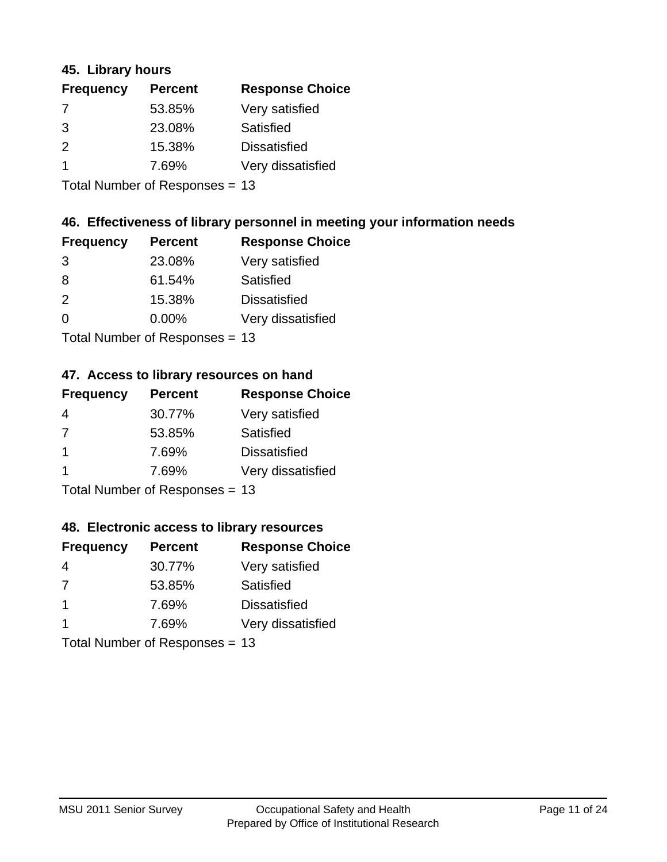#### **45. Library hours**

| <b>Frequency</b> | <b>Percent</b> | <b>Response Choice</b> |
|------------------|----------------|------------------------|
| 7                | 53.85%         | Very satisfied         |
| 3                | 23.08%         | Satisfied              |
| $\mathcal{P}$    | 15.38%         | <b>Dissatisfied</b>    |
|                  | 7.69%          | Very dissatisfied      |
|                  |                |                        |

Total Number of Responses = 13

### **46. Effectiveness of library personnel in meeting your information needs**

| <b>Frequency</b> | <b>Percent</b> | <b>Response Choice</b> |
|------------------|----------------|------------------------|
| 3                | 23.08%         | Very satisfied         |
| 8                | 61.54%         | Satisfied              |
| $\mathcal{P}$    | 15.38%         | <b>Dissatisfied</b>    |
| $\Omega$         | 0.00%          | Very dissatisfied      |
|                  |                |                        |

Total Number of Responses = 13

#### **47. Access to library resources on hand**

| <b>Frequency</b> | <b>Percent</b>            | <b>Response Choice</b> |
|------------------|---------------------------|------------------------|
| 4                | 30.77%                    | Very satisfied         |
| 7                | 53.85%                    | Satisfied              |
| -1               | 7.69%                     | <b>Dissatisfied</b>    |
|                  | 7.69%                     | Very dissatisfied      |
|                  | Total Number of Desponses |                        |

Total Number of Responses = 13

#### **48. Electronic access to library resources**

| <b>Frequency</b> | <b>Percent</b>                 | <b>Response Choice</b> |
|------------------|--------------------------------|------------------------|
| 4                | 30.77%                         | Very satisfied         |
| 7                | 53.85%                         | Satisfied              |
| -1               | 7.69%                          | <b>Dissatisfied</b>    |
| -1               | 7.69%                          | Very dissatisfied      |
|                  | Total Number of Responses = 13 |                        |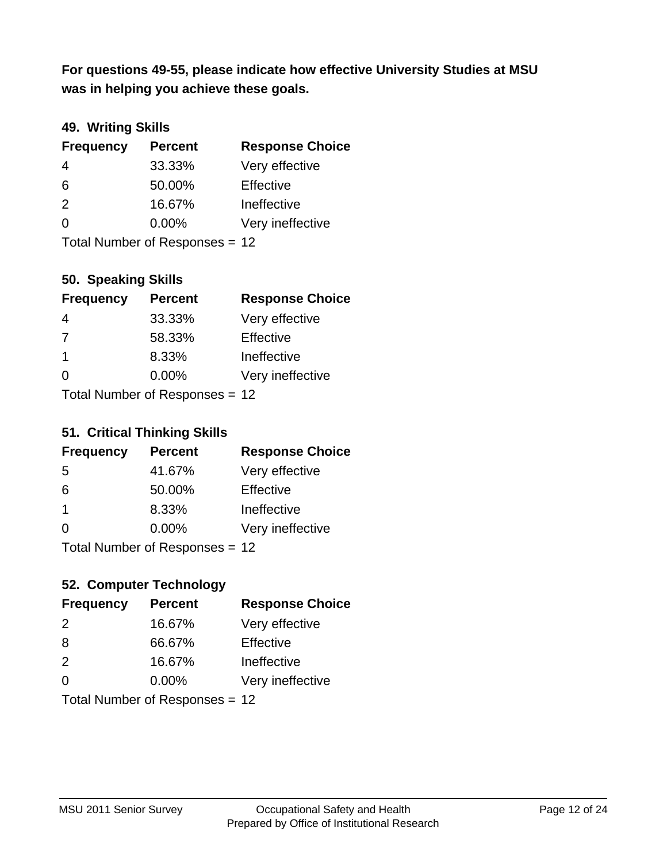**was in helping you achieve these goals. For questions 49-55, please indicate how effective University Studies at MSU** 

### **49. Writing Skills**

| <b>Frequency</b> | <b>Percent</b>                 | <b>Response Choice</b> |
|------------------|--------------------------------|------------------------|
| 4                | 33.33%                         | Very effective         |
| 6                | 50.00%                         | Effective              |
| 2                | 16.67%                         | Ineffective            |
| $\Omega$         | $0.00\%$                       | Very ineffective       |
|                  | Total Number of Responses = 12 |                        |

**50. Speaking Skills**

| <b>Frequency</b>        | <b>Percent</b>                 | <b>Response Choice</b> |
|-------------------------|--------------------------------|------------------------|
| 4                       | 33.33%                         | Very effective         |
| 7                       | 58.33%                         | Effective              |
| $\overline{\mathbf{1}}$ | 8.33%                          | Ineffective            |
| $\Omega$                | 0.00%                          | Very ineffective       |
|                         | Total Number of Poenances - 12 |                        |

Total Number of Responses = 12

#### **51. Critical Thinking Skills**

| <b>Frequency</b> | <b>Percent</b>            | <b>Response Choice</b> |
|------------------|---------------------------|------------------------|
| -5               | 41.67%                    | Very effective         |
| 6                | 50.00%                    | Effective              |
| $\mathbf 1$      | 8.33%                     | Ineffective            |
| $\Omega$         | 0.00%                     | Very ineffective       |
|                  | Total Number of DoEROR 0. |                        |

Total Number of Responses = 12

### **52. Computer Technology**

| <b>Frequency</b> | <b>Percent</b>                 | <b>Response Choice</b> |
|------------------|--------------------------------|------------------------|
| $\mathcal{P}$    | 16.67%                         | Very effective         |
| 8                | 66.67%                         | Effective              |
| 2                | 16.67%                         | Ineffective            |
| $\Omega$         | $0.00\%$                       | Very ineffective       |
|                  | Total Number of Responses = 12 |                        |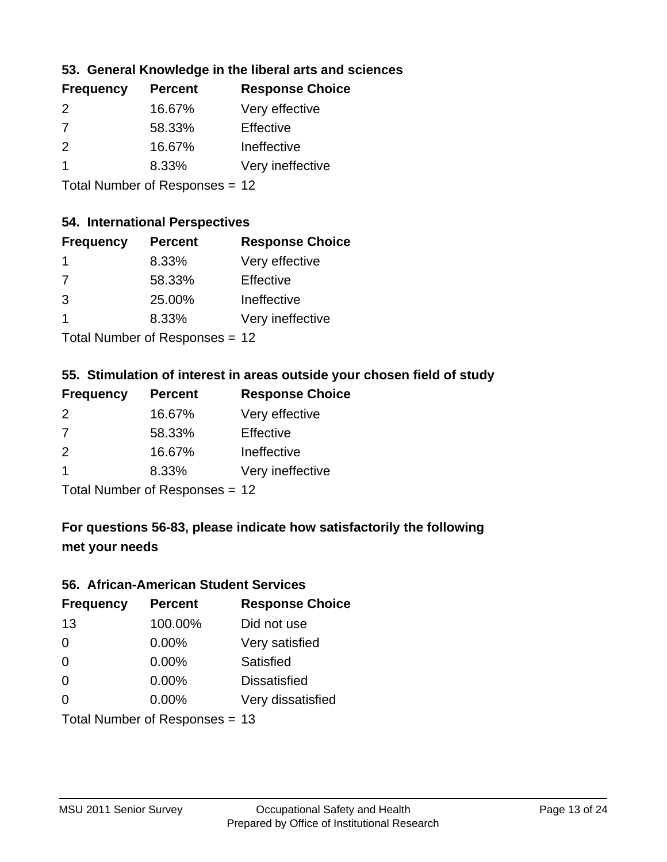### **53. General Knowledge in the liberal arts and sciences**

| <b>Frequency</b> | <b>Percent</b> | <b>Response Choice</b> |
|------------------|----------------|------------------------|
| $\mathcal{P}$    | 16.67%         | Very effective         |
| 7                | 58.33%         | Effective              |
| $\mathcal{P}$    | 16.67%         | Ineffective            |
|                  | 8.33%          | Very ineffective       |
|                  |                |                        |

Total Number of Responses = 12

#### **54. International Perspectives**

| <b>Frequency</b> | <b>Percent</b> | <b>Response Choice</b> |
|------------------|----------------|------------------------|
| -1               | 8.33%          | Very effective         |
| $\overline{7}$   | 58.33%         | Effective              |
| 3                | 25.00%         | Ineffective            |
| 1                | 8.33%          | Very ineffective       |
|                  |                |                        |

Total Number of Responses = 12

#### **55. Stimulation of interest in areas outside your chosen field of study**

| <b>Frequency</b> | <b>Percent</b>            | <b>Response Choice</b> |
|------------------|---------------------------|------------------------|
| 2                | 16.67%                    | Very effective         |
| 7                | 58.33%                    | Effective              |
| $\mathcal{P}$    | 16.67%                    | Ineffective            |
|                  | 8.33%                     | Very ineffective       |
|                  | Total Number of Deepersoo |                        |

Total Number of Responses = 12

### **For questions 56-83, please indicate how satisfactorily the following met your needs**

#### **56. African-American Student Services**

| <b>Frequency</b> | <b>Percent</b>                 | <b>Response Choice</b> |
|------------------|--------------------------------|------------------------|
| 13               | 100.00%                        | Did not use            |
| $\Omega$         | 0.00%                          | Very satisfied         |
| $\Omega$         | 0.00%                          | Satisfied              |
| $\Omega$         | $0.00\%$                       | <b>Dissatisfied</b>    |
| $\Omega$         | 0.00%                          | Very dissatisfied      |
|                  | Total Number of Responses = 13 |                        |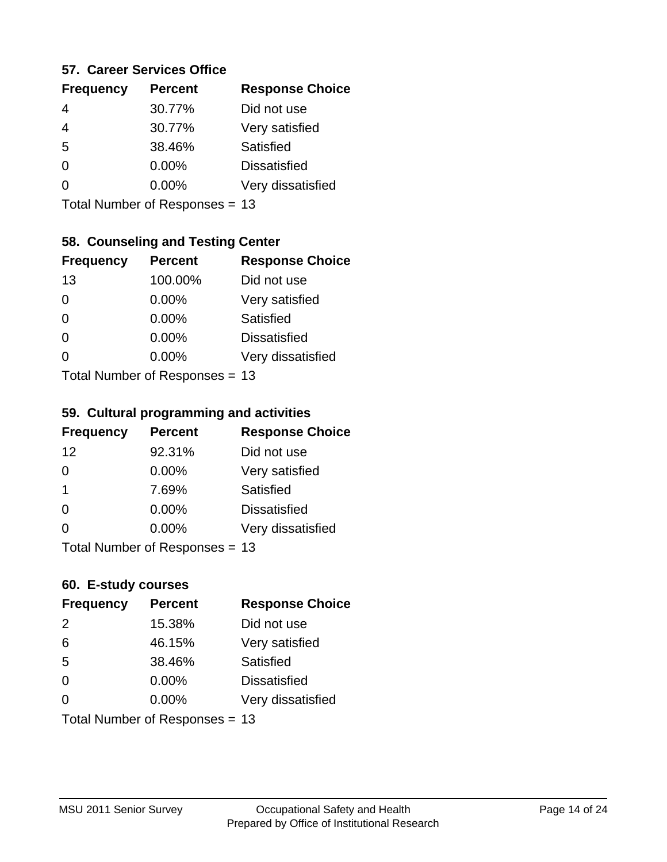#### **57. Career Services Office**

| <b>Frequency</b> | <b>Percent</b> | <b>Response Choice</b> |
|------------------|----------------|------------------------|
| 4                | 30.77%         | Did not use            |
| 4                | 30.77%         | Very satisfied         |
| 5                | 38.46%         | Satisfied              |
| ∩                | 0.00%          | <b>Dissatisfied</b>    |
|                  | $0.00\%$       | Very dissatisfied      |
|                  |                |                        |

Total Number of Responses = 13

### **58. Counseling and Testing Center**

| <b>Frequency</b> | <b>Percent</b>             | <b>Response Choice</b> |
|------------------|----------------------------|------------------------|
| 13               | 100.00%                    | Did not use            |
| 0                | 0.00%                      | Very satisfied         |
| $\Omega$         | 0.00%                      | <b>Satisfied</b>       |
| $\Omega$         | 0.00%                      | <b>Dissatisfied</b>    |
| 0                | 0.00%                      | Very dissatisfied      |
|                  | Total Number of Deparation |                        |

Total Number of Responses = 13

#### **59. Cultural programming and activities**

| <b>Frequency</b> | <b>Percent</b>                 | <b>Response Choice</b> |
|------------------|--------------------------------|------------------------|
| 12               | 92.31%                         | Did not use            |
| $\Omega$         | 0.00%                          | Very satisfied         |
| -1               | 7.69%                          | Satisfied              |
| $\Omega$         | 0.00%                          | <b>Dissatisfied</b>    |
| $\Omega$         | $0.00\%$                       | Very dissatisfied      |
|                  | Total Number of Poenances - 13 |                        |

I otal Number of Responses = 13

#### **60. E-study courses**

| <b>Frequency</b> | <b>Percent</b>                 | <b>Response Choice</b> |
|------------------|--------------------------------|------------------------|
| 2                | 15.38%                         | Did not use            |
| 6                | 46.15%                         | Very satisfied         |
| 5                | 38.46%                         | Satisfied              |
| $\Omega$         | $0.00\%$                       | <b>Dissatisfied</b>    |
| $\Omega$         | 0.00%                          | Very dissatisfied      |
|                  | Total Number of Responses = 13 |                        |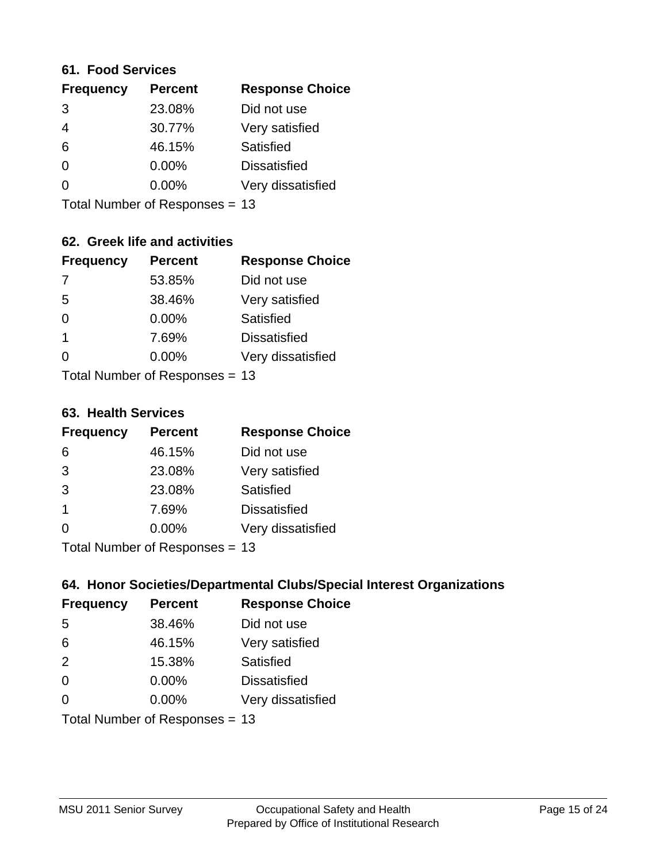#### **61. Food Services**

| <b>Frequency</b> | <b>Percent</b> | <b>Response Choice</b> |
|------------------|----------------|------------------------|
| 3                | 23.08%         | Did not use            |
| 4                | 30.77%         | Very satisfied         |
| 6                | 46.15%         | Satisfied              |
| $\Omega$         | $0.00\%$       | <b>Dissatisfied</b>    |
| ∩                | $0.00\%$       | Very dissatisfied      |
|                  |                |                        |

Total Number of Responses = 13

### **62. Greek life and activities**

| <b>Frequency</b> | <b>Percent</b>                 | <b>Response Choice</b> |
|------------------|--------------------------------|------------------------|
| -7               | 53.85%                         | Did not use            |
| 5                | 38.46%                         | Very satisfied         |
| $\Omega$         | 0.00%                          | Satisfied              |
| 1                | 7.69%                          | <b>Dissatisfied</b>    |
| 0                | $0.00\%$                       | Very dissatisfied      |
|                  | Total Number of Responses = 13 |                        |

#### **63. Health Services**

| <b>Frequency</b>        | <b>Percent</b>            | <b>Response Choice</b> |
|-------------------------|---------------------------|------------------------|
| 6                       | 46.15%                    | Did not use            |
| 3                       | 23.08%                    | Very satisfied         |
| 3                       | 23.08%                    | Satisfied              |
| $\overline{\mathbf{1}}$ | 7.69%                     | <b>Dissatisfied</b>    |
| $\Omega$                | $0.00\%$                  | Very dissatisfied      |
|                         | Total Number of Desponses |                        |

Total Number of Responses = 13

### **64. Honor Societies/Departmental Clubs/Special Interest Organizations**

| <b>Frequency</b> | <b>Percent</b>                 | <b>Response Choice</b> |
|------------------|--------------------------------|------------------------|
| 5                | 38.46%                         | Did not use            |
| 6                | 46.15%                         | Very satisfied         |
| 2                | 15.38%                         | Satisfied              |
| $\Omega$         | $0.00\%$                       | <b>Dissatisfied</b>    |
| $\Omega$         | 0.00%                          | Very dissatisfied      |
|                  | Total Number of Responses = 13 |                        |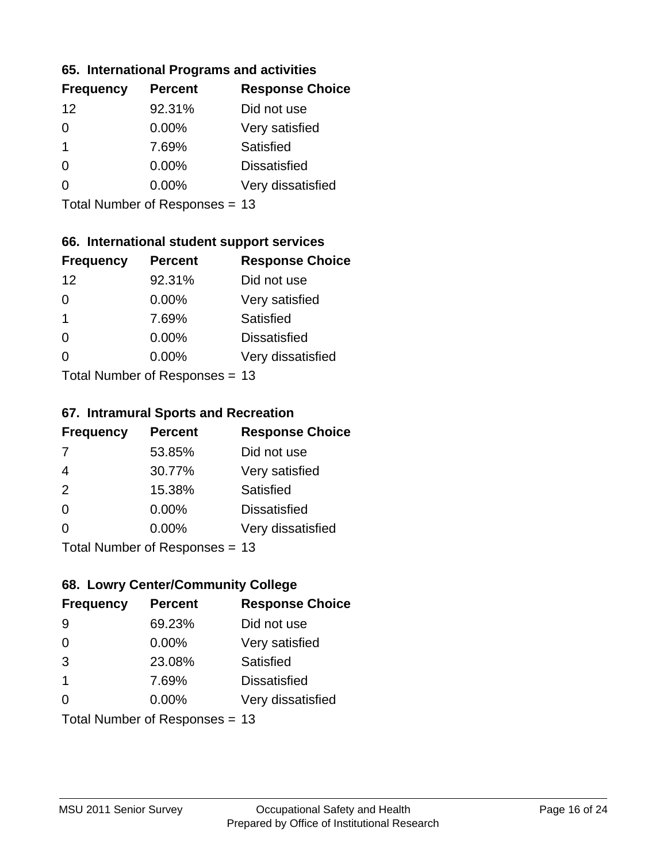#### **65. International Programs and activities**

| <b>Frequency</b> | <b>Percent</b> | <b>Response Choice</b> |
|------------------|----------------|------------------------|
| 12               | 92.31%         | Did not use            |
| 0                | $0.00\%$       | Very satisfied         |
| 1                | 7.69%          | Satisfied              |
| O                | $0.00\%$       | <b>Dissatisfied</b>    |
|                  | $0.00\%$       | Very dissatisfied      |
|                  |                |                        |

Total Number of Responses = 13

### **66. International student support services**

| <b>Frequency</b> | <b>Percent</b>            | <b>Response Choice</b> |
|------------------|---------------------------|------------------------|
| 12               | 92.31%                    | Did not use            |
| $\Omega$         | 0.00%                     | Very satisfied         |
| 1                | 7.69%                     | Satisfied              |
| $\Omega$         | 0.00%                     | <b>Dissatisfied</b>    |
| 0                | 0.00%                     | Very dissatisfied      |
|                  | Total Number of Desponses |                        |

Total Number of Responses = 13

#### **67. Intramural Sports and Recreation**

| <b>Frequency</b> | <b>Percent</b>                  | <b>Response Choice</b> |
|------------------|---------------------------------|------------------------|
| 7                | 53.85%                          | Did not use            |
| $\overline{4}$   | 30.77%                          | Very satisfied         |
| 2                | 15.38%                          | Satisfied              |
| $\Omega$         | 0.00%                           | <b>Dissatisfied</b>    |
| $\Omega$         | 0.00%                           | Very dissatisfied      |
|                  | $Total Number of Denonose = 42$ |                        |

I otal Number of Responses = 13

### **68. Lowry Center/Community College**

| <b>Frequency</b>        | <b>Percent</b>                 | <b>Response Choice</b> |
|-------------------------|--------------------------------|------------------------|
| -9                      | 69.23%                         | Did not use            |
| $\Omega$                | 0.00%                          | Very satisfied         |
| 3                       | 23.08%                         | Satisfied              |
| $\overline{\mathbf{1}}$ | 7.69%                          | <b>Dissatisfied</b>    |
| $\Omega$                | $0.00\%$                       | Very dissatisfied      |
|                         | Total Number of Responses = 13 |                        |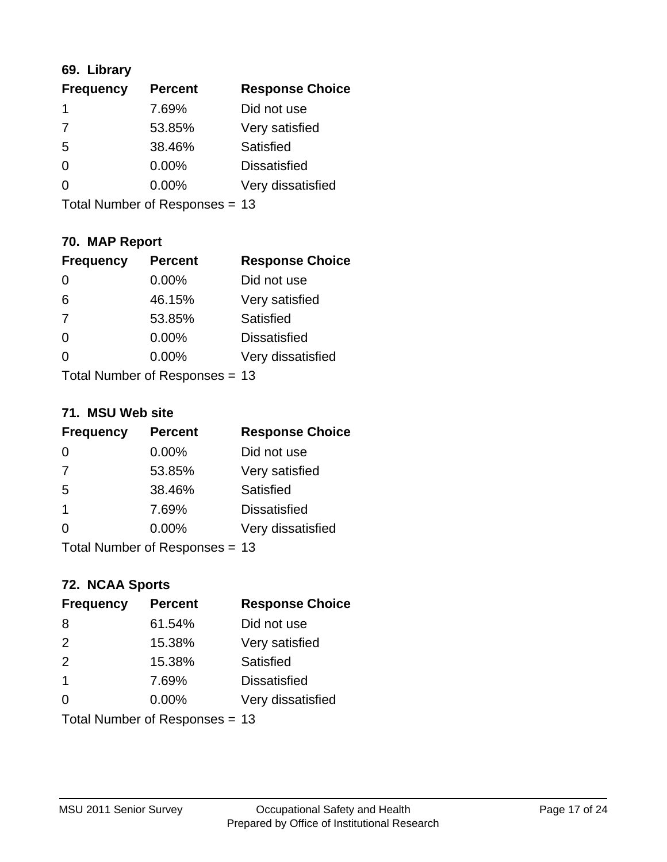### **69. Library**

| <b>Frequency</b> | <b>Percent</b> | <b>Response Choice</b> |
|------------------|----------------|------------------------|
|                  | 7.69%          | Did not use            |
| 7                | 53.85%         | Very satisfied         |
| 5                | 38.46%         | Satisfied              |
| $\Omega$         | $0.00\%$       | <b>Dissatisfied</b>    |
| O                | $0.00\%$       | Very dissatisfied      |
|                  |                |                        |

Total Number of Responses = 13

### **70. MAP Report**

| <b>Frequency</b> | <b>Percent</b>                 | <b>Response Choice</b> |
|------------------|--------------------------------|------------------------|
| 0                | 0.00%                          | Did not use            |
| 6                | 46.15%                         | Very satisfied         |
| 7                | 53.85%                         | Satisfied              |
| $\Omega$         | 0.00%                          | <b>Dissatisfied</b>    |
| 0                | $0.00\%$                       | Very dissatisfied      |
|                  | Total Number of Responses = 13 |                        |

#### **71. MSU Web site**

| <b>Frequency</b> | <b>Percent</b>                 | <b>Response Choice</b> |
|------------------|--------------------------------|------------------------|
| $\Omega$         | $0.00\%$                       | Did not use            |
| 7                | 53.85%                         | Very satisfied         |
| 5                | 38.46%                         | Satisfied              |
| -1               | 7.69%                          | <b>Dissatisfied</b>    |
| ∩                | 0.00%                          | Very dissatisfied      |
|                  | Total Number of Responses = 13 |                        |

### **72. NCAA Sports**

| <b>Frequency</b> | <b>Percent</b>                 | <b>Response Choice</b> |
|------------------|--------------------------------|------------------------|
| 8                | 61.54%                         | Did not use            |
| 2                | 15.38%                         | Very satisfied         |
| 2                | 15.38%                         | Satisfied              |
| $\mathbf 1$      | 7.69%                          | <b>Dissatisfied</b>    |
| $\Omega$         | $0.00\%$                       | Very dissatisfied      |
|                  | Total Number of Responses = 13 |                        |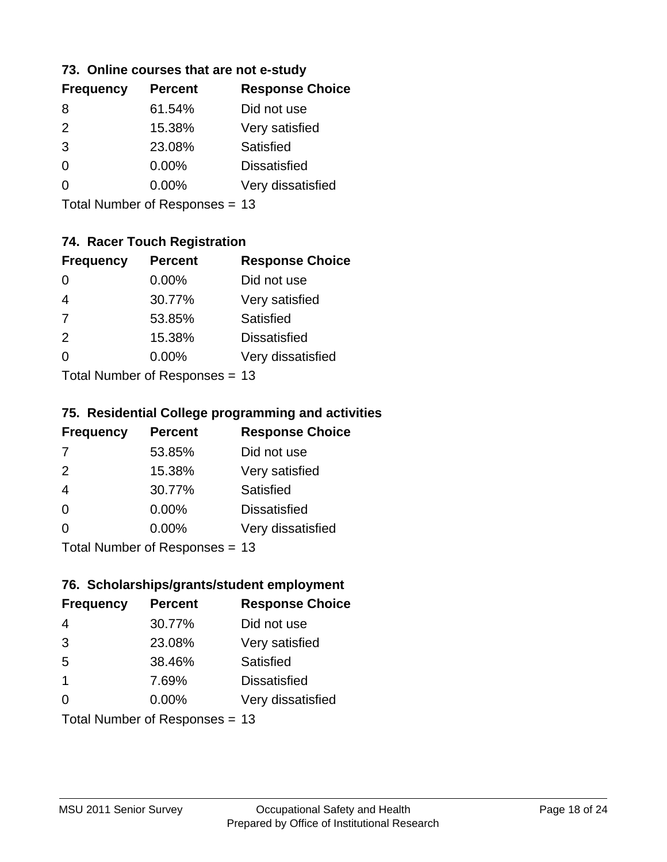#### **73. Online courses that are not e-study**

| <b>Frequency</b> | <b>Percent</b> | <b>Response Choice</b> |
|------------------|----------------|------------------------|
| 8                | 61.54%         | Did not use            |
| $\mathcal{P}$    | 15.38%         | Very satisfied         |
| 3                | 23.08%         | Satisfied              |
| 0                | 0.00%          | <b>Dissatisfied</b>    |
|                  | $0.00\%$       | Very dissatisfied      |
|                  |                |                        |

Total Number of Responses = 13

### **74. Racer Touch Registration**

| <b>Frequency</b>                | <b>Percent</b> | <b>Response Choice</b> |
|---------------------------------|----------------|------------------------|
| 0                               | 0.00%          | Did not use            |
| $\overline{4}$                  | 30.77%         | Very satisfied         |
| 7                               | 53.85%         | <b>Satisfied</b>       |
| 2                               | 15.38%         | <b>Dissatisfied</b>    |
| 0                               | $0.00\%$       | Very dissatisfied      |
| $Total$ Number of Despenses $-$ |                |                        |

Total Number of Responses = 13

#### **75. Residential College programming and activities**

| <b>Frequency</b> | <b>Percent</b>                   | <b>Response Choice</b> |
|------------------|----------------------------------|------------------------|
| 7                | 53.85%                           | Did not use            |
| 2                | 15.38%                           | Very satisfied         |
| $\overline{4}$   | 30.77%                           | Satisfied              |
| $\Omega$         | 0.00%                            | <b>Dissatisfied</b>    |
| $\Omega$         | 0.00%                            | Very dissatisfied      |
|                  | $Total Number of Doepopose = 42$ |                        |

Total Number of Responses = 13

#### **76. Scholarships/grants/student employment**

| <b>Frequency</b> | <b>Percent</b>                 | <b>Response Choice</b> |
|------------------|--------------------------------|------------------------|
| 4                | 30.77%                         | Did not use            |
| 3                | 23.08%                         | Very satisfied         |
| 5                | 38.46%                         | Satisfied              |
| $\mathbf 1$      | 7.69%                          | <b>Dissatisfied</b>    |
| 0                | $0.00\%$                       | Very dissatisfied      |
|                  | Total Number of Responses = 13 |                        |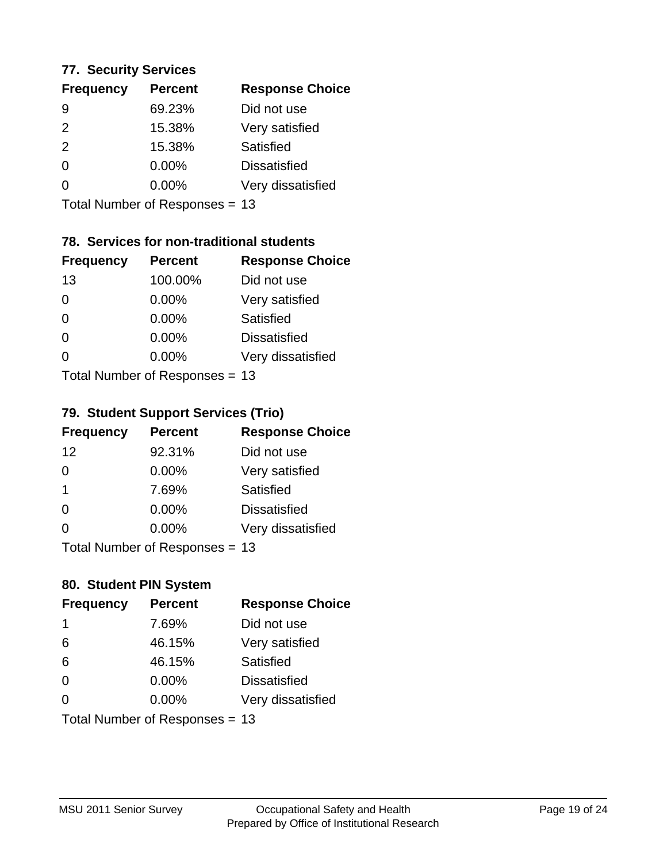#### **77. Security Services**

| <b>Frequency</b> | <b>Percent</b> | <b>Response Choice</b> |
|------------------|----------------|------------------------|
| 9                | 69.23%         | Did not use            |
| $\mathcal{P}$    | 15.38%         | Very satisfied         |
| 2                | 15.38%         | Satisfied              |
| $\Omega$         | $0.00\%$       | <b>Dissatisfied</b>    |
| ∩                | $0.00\%$       | Very dissatisfied      |
|                  |                |                        |

Total Number of Responses = 13

### **78. Services for non-traditional students**

| <b>Frequency</b>           | <b>Percent</b> | <b>Response Choice</b> |
|----------------------------|----------------|------------------------|
| 13                         | 100.00%        | Did not use            |
| 0                          | 0.00%          | Very satisfied         |
| $\Omega$                   | 0.00%          | <b>Satisfied</b>       |
| $\Omega$                   | 0.00%          | <b>Dissatisfied</b>    |
| 0                          | 0.00%          | Very dissatisfied      |
| Total Number of Deparation |                |                        |

Total Number of Responses = 13

### **79. Student Support Services (Trio)**

| <b>Frequency</b> | <b>Percent</b>                  | <b>Response Choice</b> |
|------------------|---------------------------------|------------------------|
| 12               | 92.31%                          | Did not use            |
| $\Omega$         | 0.00%                           | Very satisfied         |
| -1               | 7.69%                           | Satisfied              |
| $\Omega$         | 0.00%                           | <b>Dissatisfied</b>    |
| $\Omega$         | 0.00%                           | Very dissatisfied      |
|                  | $Total Number of Denonose = 42$ |                        |

I otal Number of Responses = 13

### **80. Student PIN System**

| <b>Frequency</b> | <b>Percent</b>                 | <b>Response Choice</b> |
|------------------|--------------------------------|------------------------|
| -1               | 7.69%                          | Did not use            |
| 6                | 46.15%                         | Very satisfied         |
| 6                | 46.15%                         | Satisfied              |
| $\Omega$         | $0.00\%$                       | <b>Dissatisfied</b>    |
| $\Omega$         | $0.00\%$                       | Very dissatisfied      |
|                  | Total Number of Responses = 13 |                        |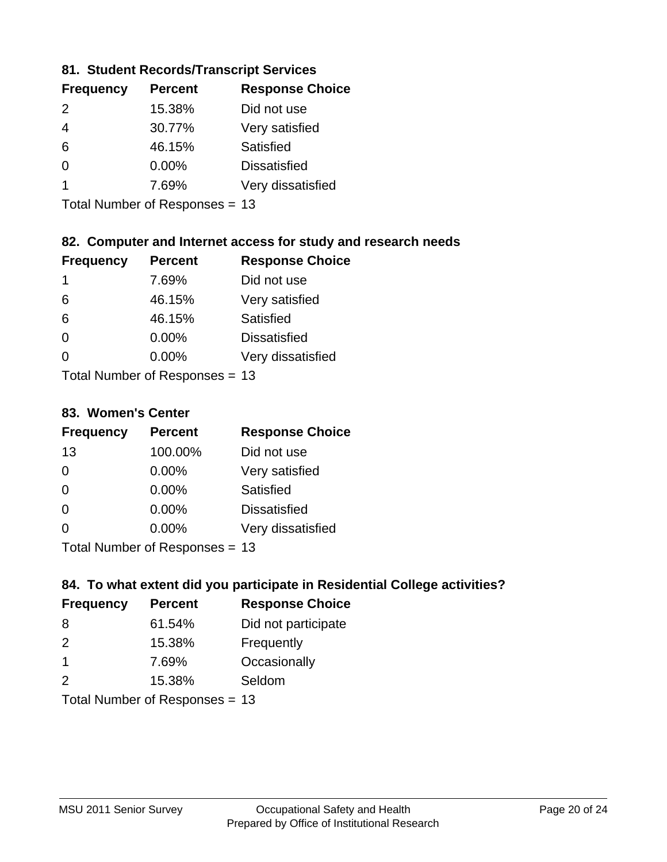### **81. Student Records/Transcript Services**

| <b>Frequency</b> | <b>Percent</b> | <b>Response Choice</b> |
|------------------|----------------|------------------------|
| $\mathcal{P}$    | 15.38%         | Did not use            |
| 4                | 30.77%         | Very satisfied         |
| 6                | 46.15%         | Satisfied              |
| ∩                | 0.00%          | <b>Dissatisfied</b>    |
|                  | 7.69%          | Very dissatisfied      |

Total Number of Responses = 13

### **82. Computer and Internet access for study and research needs**

| <b>Frequency</b> | <b>Percent</b>            | <b>Response Choice</b> |
|------------------|---------------------------|------------------------|
| 1                | 7.69%                     | Did not use            |
| 6                | 46.15%                    | Very satisfied         |
| 6                | 46.15%                    | Satisfied              |
| $\Omega$         | 0.00%                     | <b>Dissatisfied</b>    |
| ∩                | 0.00%                     | Very dissatisfied      |
|                  | Total Number of Deepensee |                        |

Total Number of Responses = 13

#### **83. Women's Center**

| <b>Frequency</b>          | <b>Percent</b> | <b>Response Choice</b> |
|---------------------------|----------------|------------------------|
| 13                        | 100.00%        | Did not use            |
| $\Omega$                  | $0.00\%$       | Very satisfied         |
| $\Omega$                  | $0.00\%$       | Satisfied              |
| $\Omega$                  | $0.00\%$       | <b>Dissatisfied</b>    |
| ∩                         | 0.00%          | Very dissatisfied      |
| Total Number of Desponses |                |                        |

Total Number of Responses = 13

### **84. To what extent did you participate in Residential College activities?**

| <b>Frequency</b> | <b>Percent</b>            | <b>Response Choice</b> |
|------------------|---------------------------|------------------------|
| -8               | 61.54%                    | Did not participate    |
| $\mathcal{P}$    | 15.38%                    | Frequently             |
| -1               | 7.69%                     | Occasionally           |
| $\mathcal{P}$    | 15.38%                    | Seldom                 |
|                  | Total Number of DoEROR 0. |                        |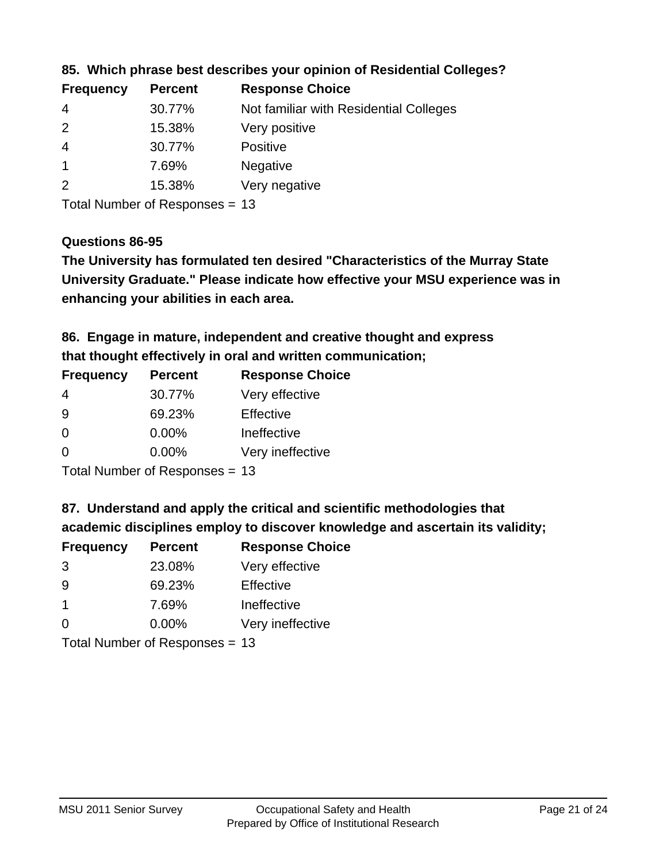| <b>Frequency</b> | <b>Percent</b> | <b>Response Choice</b>                 |
|------------------|----------------|----------------------------------------|
| -4               | 30.77%         | Not familiar with Residential Colleges |
| $\overline{2}$   | 15.38%         | Very positive                          |
| -4               | 30.77%         | Positive                               |
|                  | 7.69%          | <b>Negative</b>                        |
| $\mathcal{P}$    | 15.38%         | Very negative                          |
|                  |                |                                        |

**85. Which phrase best describes your opinion of Residential Colleges?**

Total Number of Responses = 13

#### **Questions 86-95**

**University Graduate." Please indicate how effective your MSU experience was in The University has formulated ten desired "Characteristics of the Murray State enhancing your abilities in each area.**

**86. Engage in mature, independent and creative thought and express that thought effectively in oral and written communication;**

| <b>Frequency</b> | <b>Percent</b> | <b>Response Choice</b> |
|------------------|----------------|------------------------|
| 4                | 30.77%         | Very effective         |
| 9                | 69.23%         | Effective              |
| 0                | 0.00%          | Ineffective            |
| $\Omega$         | $0.00\%$       | Very ineffective       |
|                  |                |                        |

Total Number of Responses = 13

**87. Understand and apply the critical and scientific methodologies that** 

**academic disciplines employ to discover knowledge and ascertain its validity;**

| <b>Frequency</b> | <b>Percent</b> | <b>Response Choice</b> |
|------------------|----------------|------------------------|
| 3                | 23.08%         | Very effective         |
| 9                | 69.23%         | Effective              |
| -1               | 7.69%          | Ineffective            |
| $\Omega$         | 0.00%          | Very ineffective       |
|                  |                |                        |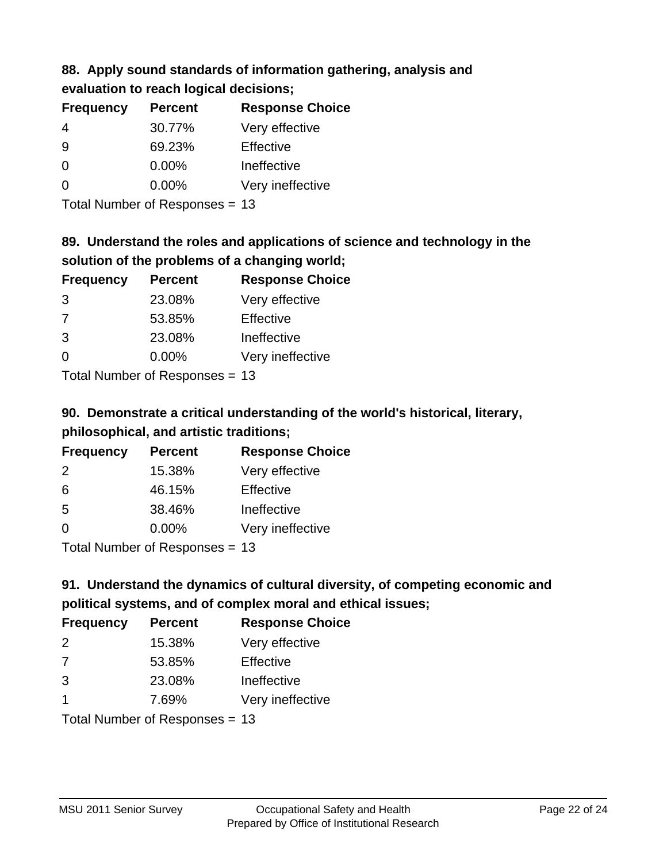### **88. Apply sound standards of information gathering, analysis and evaluation to reach logical decisions;**

| <b>Frequency</b> | <b>Percent</b> | <b>Response Choice</b> |
|------------------|----------------|------------------------|
| 4                | 30.77%         | Very effective         |
| 9                | 69.23%         | Effective              |
| $\Omega$         | 0.00%          | Ineffective            |
| $\Omega$         | $0.00\%$       | Very ineffective       |
|                  |                |                        |

Total Number of Responses = 13

### **89. Understand the roles and applications of science and technology in the solution of the problems of a changing world;**

| <b>Frequency</b>                                        | <b>Percent</b> | <b>Response Choice</b> |
|---------------------------------------------------------|----------------|------------------------|
| 3                                                       | 23.08%         | Very effective         |
| 7                                                       | 53.85%         | Effective              |
| 3                                                       | 23.08%         | Ineffective            |
| $\Omega$                                                | 0.00%          | Very ineffective       |
| $T$ at all Masseds and $R$ $\sim$ and $\sim$ and $\sim$ |                |                        |

Total Number of Responses = 13

# **90. Demonstrate a critical understanding of the world's historical, literary, philosophical, and artistic traditions;**

| <b>Frequency</b> | <b>Percent</b>                                                                                                                                                                                                                 | <b>Response Choice</b> |
|------------------|--------------------------------------------------------------------------------------------------------------------------------------------------------------------------------------------------------------------------------|------------------------|
| $\mathcal{P}$    | 15.38%                                                                                                                                                                                                                         | Very effective         |
| 6                | 46.15%                                                                                                                                                                                                                         | Effective              |
| 5                | 38.46%                                                                                                                                                                                                                         | Ineffective            |
| $\Omega$         | 0.00%                                                                                                                                                                                                                          | Very ineffective       |
|                  | The Little and the Little Communist Communist Communist Communist Communist Communist Communist Communist Communist Communist Communist Communist Communist Communist Communist Communist Communist Communist Communist Commun |                        |

Total Number of Responses = 13

# **91. Understand the dynamics of cultural diversity, of competing economic and political systems, and of complex moral and ethical issues;**

| <b>Frequency</b>     | <b>Percent</b>                 | <b>Response Choice</b> |
|----------------------|--------------------------------|------------------------|
| 2                    | 15.38%                         | Very effective         |
| 7                    | 53.85%                         | Effective              |
| 3                    | 23.08%                         | Ineffective            |
| $\blacktriangleleft$ | 7.69%                          | Very ineffective       |
|                      | Total Number of Responses = 13 |                        |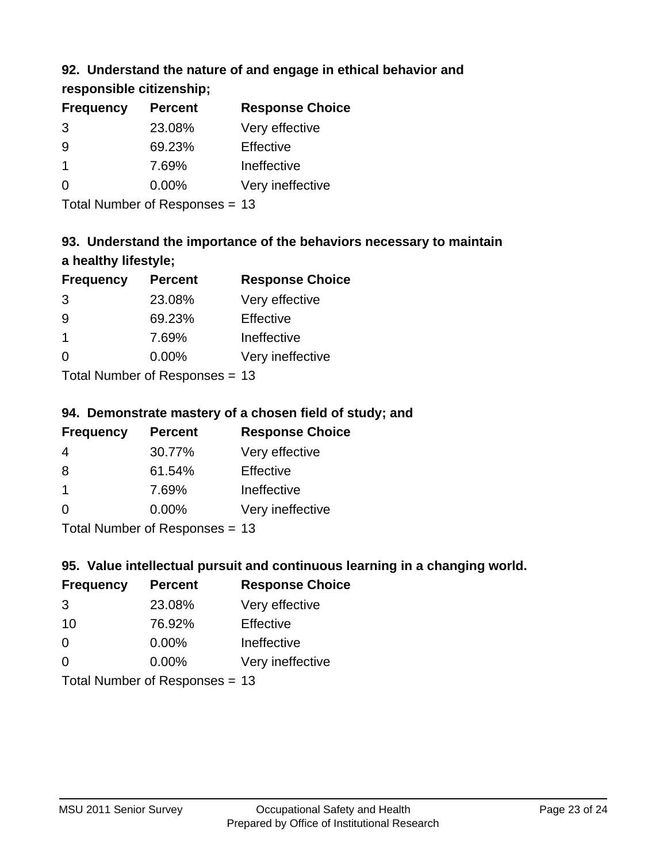### **92. Understand the nature of and engage in ethical behavior and**

**responsible citizenship;**

| <b>Frequency</b> | <b>Percent</b> | <b>Response Choice</b> |
|------------------|----------------|------------------------|
| 3                | 23.08%         | Very effective         |
| 9                | 69.23%         | Effective              |
| 1                | 7.69%          | Ineffective            |
| ∩                | $0.00\%$       | Very ineffective       |
|                  |                |                        |

Total Number of Responses = 13

# **93. Understand the importance of the behaviors necessary to maintain a healthy lifestyle;**

| <b>Frequency</b>            | <b>Percent</b> | <b>Response Choice</b> |
|-----------------------------|----------------|------------------------|
| 3                           | 23.08%         | Very effective         |
| 9                           | 69.23%         | Effective              |
| $\mathbf 1$                 | 7.69%          | Ineffective            |
| $\Omega$                    | 0.00%          | Very ineffective       |
| Tatal Manuela and Dannanana |                |                        |

Total Number of Responses = 13

### **94. Demonstrate mastery of a chosen field of study; and**

| <b>Frequency</b>     | <b>Percent</b> | <b>Response Choice</b> |
|----------------------|----------------|------------------------|
| 4                    | 30.77%         | Very effective         |
| 8                    | 61.54%         | Effective              |
| $\blacktriangleleft$ | 7.69%          | Ineffective            |
| $\Omega$             | 0.00%          | Very ineffective       |
|                      |                |                        |

Total Number of Responses = 13

### **95. Value intellectual pursuit and continuous learning in a changing world.**

| <b>Frequency</b>           | <b>Percent</b> | <b>Response Choice</b> |
|----------------------------|----------------|------------------------|
| 3                          | 23.08%         | Very effective         |
| 10                         | 76.92%         | Effective              |
| $\Omega$                   | 0.00%          | Ineffective            |
| $\Omega$                   | 0.00%          | Very ineffective       |
| Tatal Manakan af Dagmannar |                |                        |